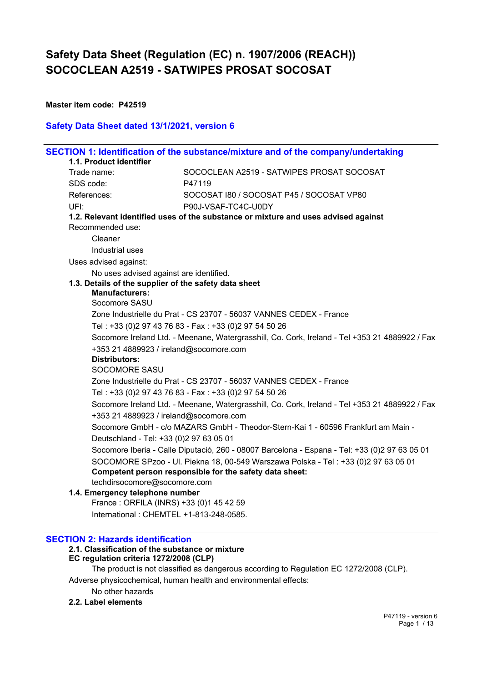**Master item code: P42519**

### **Safety Data Sheet dated 13/1/2021, version 6**

|                         |                                          | SECTION 1: Identification of the substance/mixture and of the company/undertaking              |
|-------------------------|------------------------------------------|------------------------------------------------------------------------------------------------|
| 1.1. Product identifier |                                          |                                                                                                |
| Trade name:             |                                          | SOCOCLEAN A2519 - SATWIPES PROSAT SOCOSAT                                                      |
| SDS code:               |                                          | P47119                                                                                         |
| References:             |                                          | SOCOSAT 180 / SOCOSAT P45 / SOCOSAT VP80                                                       |
| UFI:                    |                                          | P90J-VSAF-TC4C-U0DY                                                                            |
| Recommended use:        |                                          | 1.2. Relevant identified uses of the substance or mixture and uses advised against             |
| Cleaner                 |                                          |                                                                                                |
|                         | Industrial uses                          |                                                                                                |
| Uses advised against:   |                                          |                                                                                                |
|                         | No uses advised against are identified.  |                                                                                                |
|                         |                                          | 1.3. Details of the supplier of the safety data sheet                                          |
|                         | <b>Manufacturers:</b>                    |                                                                                                |
|                         | Socomore SASU                            |                                                                                                |
|                         |                                          | Zone Industrielle du Prat - CS 23707 - 56037 VANNES CEDEX - France                             |
|                         |                                          | Tel: +33 (0)2 97 43 76 83 - Fax: +33 (0)2 97 54 50 26                                          |
|                         | +353 21 4889923 / ireland@socomore.com   | Socomore Ireland Ltd. - Meenane, Watergrasshill, Co. Cork, Ireland - Tel +353 21 4889922 / Fax |
|                         | <b>Distributors:</b>                     |                                                                                                |
|                         | <b>SOCOMORE SASU</b>                     |                                                                                                |
|                         |                                          | Zone Industrielle du Prat - CS 23707 - 56037 VANNES CEDEX - France                             |
|                         |                                          | Tel: +33 (0)2 97 43 76 83 - Fax: +33 (0)2 97 54 50 26                                          |
|                         | +353 21 4889923 / ireland@socomore.com   | Socomore Ireland Ltd. - Meenane, Watergrasshill, Co. Cork, Ireland - Tel +353 21 4889922 / Fax |
|                         | Deutschland - Tel: +33 (0) 2 97 63 05 01 | Socomore GmbH - c/o MAZARS GmbH - Theodor-Stern-Kai 1 - 60596 Frankfurt am Main -              |
|                         |                                          | Socomore Iberia - Calle Diputació, 260 - 08007 Barcelona - Espana - Tel: +33 (0)2 97 63 05 01  |
|                         |                                          | SOCOMORE SPzoo - UI. Piekna 18, 00-549 Warszawa Polska - Tel: +33 (0)2 97 63 05 01             |
|                         |                                          | Competent person responsible for the safety data sheet:                                        |
|                         | techdirsocomore@socomore.com             |                                                                                                |
|                         | 1.4. Emergency telephone number          |                                                                                                |
|                         | France: ORFILA (INRS) +33 (0)1 45 42 59  |                                                                                                |
|                         | International: CHEMTEL +1-813-248-0585.  |                                                                                                |

#### **SECTION 2: Hazards identification**

#### **2.1. Classification of the substance or mixture**

## **EC regulation criteria 1272/2008 (CLP)**

The product is not classified as dangerous according to Regulation EC 1272/2008 (CLP).

Adverse physicochemical, human health and environmental effects:

No other hazards

## **2.2. Label elements**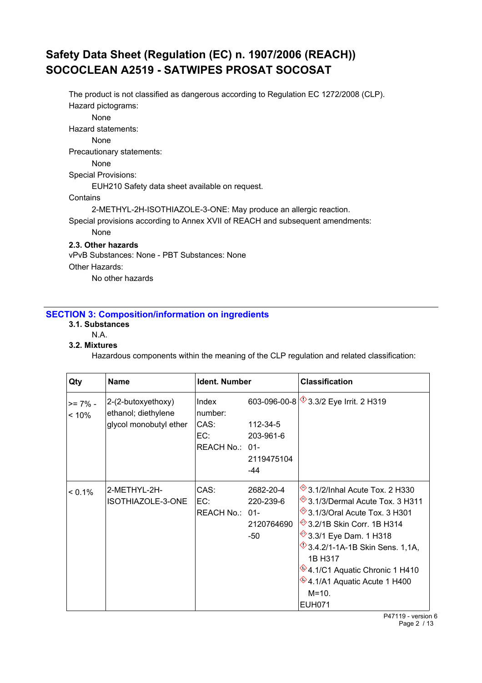The product is not classified as dangerous according to Regulation EC 1272/2008 (CLP). Hazard pictograms: None Hazard statements: None Precautionary statements: None Special Provisions: EUH210 Safety data sheet available on request. **Contains** 2-METHYL-2H-ISOTHIAZOLE-3-ONE: May produce an allergic reaction. Special provisions according to Annex XVII of REACH and subsequent amendments: None **2.3. Other hazards** vPvB Substances: None - PBT Substances: None Other Hazards:

No other hazards

## **SECTION 3: Composition/information on ingredients**

- **3.1. Substances**
	- N.A.

#### **3.2. Mixtures**

Hazardous components within the meaning of the CLP regulation and related classification:

| Qty                 | <b>Name</b>                               | Ident. Number    |            | <b>Classification</b>                       |
|---------------------|-------------------------------------------|------------------|------------|---------------------------------------------|
| $>= 7\%$ -<br>< 10% | 2-(2-butoxyethoxy)<br>ethanol; diethylene | Index<br>number: |            | 603-096-00-8 3.3/2 Eye Irrit. 2 H319        |
|                     | glycol monobutyl ether                    | CAS:             | 112-34-5   |                                             |
|                     |                                           | EC:              | 203-961-6  |                                             |
|                     |                                           | REACH No.: 01-   |            |                                             |
|                     |                                           |                  | 2119475104 |                                             |
|                     |                                           |                  | -44        |                                             |
| $< 0.1\%$           | 2-METHYL-2H-                              | CAS:             | 2682-20-4  | <sup>→</sup> 3.1/2/Inhal Acute Tox. 2 H330  |
|                     | ISOTHIAZOLE-3-ONE                         | EC:              | 220-239-6  | <sup>→</sup> 3.1/3/Dermal Acute Tox. 3 H311 |
|                     |                                           | REACH No.: 01-   |            | <sup>→</sup> 3.1/3/Oral Acute Tox. 3 H301   |
|                     |                                           |                  | 2120764690 | <sup>→</sup> 3.2/1B Skin Corr. 1B H314      |
|                     |                                           |                  | -50        | <sup>→</sup> 3.3/1 Eye Dam. 1 H318          |
|                     |                                           |                  |            | $\sqrt[4]{3.4.2}$ /1-1A-1B Skin Sens. 1,1A, |
|                     |                                           |                  |            | 1B H317                                     |
|                     |                                           |                  |            | <sup>∜</sup> 4.1/C1 Aquatic Chronic 1 H410  |
|                     |                                           |                  |            | $*$ 4.1/A1 Aquatic Acute 1 H400             |
|                     |                                           |                  |            | $M = 10.$                                   |
|                     |                                           |                  |            | <b>EUH071</b>                               |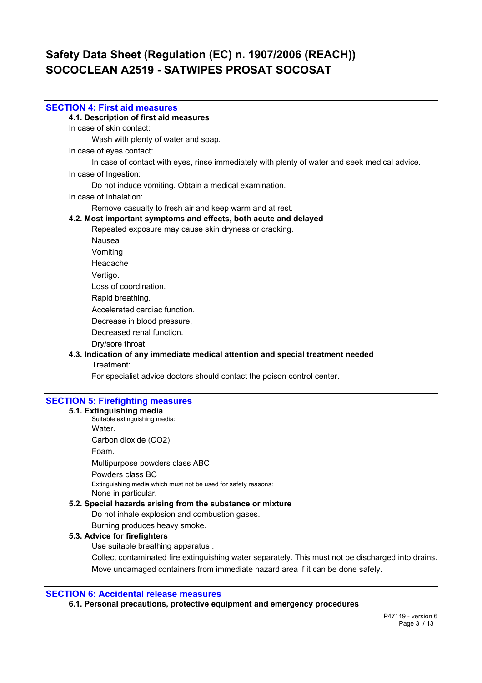#### **SECTION 4: First aid measures**

**4.1. Description of first aid measures**

In case of skin contact:

Wash with plenty of water and soap.

In case of eyes contact:

In case of contact with eyes, rinse immediately with plenty of water and seek medical advice.

In case of Ingestion:

Do not induce vomiting. Obtain a medical examination.

In case of Inhalation:

Remove casualty to fresh air and keep warm and at rest.

#### **4.2. Most important symptoms and effects, both acute and delayed**

Repeated exposure may cause skin dryness or cracking.

Nausea

- Vomiting
- Headache

Vertigo.

Loss of coordination.

Rapid breathing.

Accelerated cardiac function.

Decrease in blood pressure.

Decreased renal function.

Dry/sore throat.

### **4.3. Indication of any immediate medical attention and special treatment needed**

Treatment:

For specialist advice doctors should contact the poison control center.

## **SECTION 5: Firefighting measures**

#### **5.1. Extinguishing media**

Suitable extinguishing media: Water. Carbon dioxide (CO2). Foam. Multipurpose powders class ABC Powders class BC Extinguishing media which must not be used for safety reasons: None in particular.

#### **5.2. Special hazards arising from the substance or mixture**

Do not inhale explosion and combustion gases.

Burning produces heavy smoke.

### **5.3. Advice for firefighters**

Use suitable breathing apparatus .

Collect contaminated fire extinguishing water separately. This must not be discharged into drains. Move undamaged containers from immediate hazard area if it can be done safely.

#### **SECTION 6: Accidental release measures**

**6.1. Personal precautions, protective equipment and emergency procedures**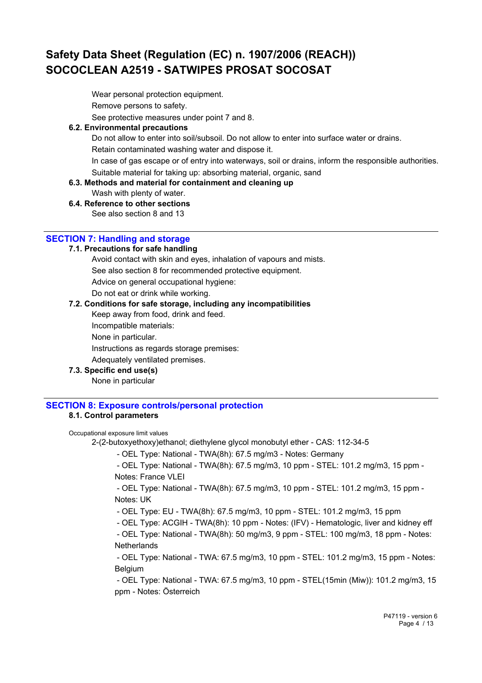Wear personal protection equipment.

Remove persons to safety.

See protective measures under point 7 and 8.

### **6.2. Environmental precautions**

Do not allow to enter into soil/subsoil. Do not allow to enter into surface water or drains. Retain contaminated washing water and dispose it.

In case of gas escape or of entry into waterways, soil or drains, inform the responsible authorities. Suitable material for taking up: absorbing material, organic, sand

**6.3. Methods and material for containment and cleaning up**

Wash with plenty of water.

**6.4. Reference to other sections**

See also section 8 and 13

## **SECTION 7: Handling and storage**

### **7.1. Precautions for safe handling**

Avoid contact with skin and eyes, inhalation of vapours and mists.

See also section 8 for recommended protective equipment.

Advice on general occupational hygiene:

Do not eat or drink while working.

### **7.2. Conditions for safe storage, including any incompatibilities**

Keep away from food, drink and feed.

Incompatible materials:

None in particular.

Instructions as regards storage premises:

Adequately ventilated premises.

**7.3. Specific end use(s)**

None in particular

## **SECTION 8: Exposure controls/personal protection**

## **8.1. Control parameters**

#### Occupational exposure limit values

2-(2-butoxyethoxy)ethanol; diethylene glycol monobutyl ether - CAS: 112-34-5

- OEL Type: National - TWA(8h): 67.5 mg/m3 - Notes: Germany

 - OEL Type: National - TWA(8h): 67.5 mg/m3, 10 ppm - STEL: 101.2 mg/m3, 15 ppm - Notes: France VLEI

 - OEL Type: National - TWA(8h): 67.5 mg/m3, 10 ppm - STEL: 101.2 mg/m3, 15 ppm - Notes: UK

- OEL Type: EU - TWA(8h): 67.5 mg/m3, 10 ppm - STEL: 101.2 mg/m3, 15 ppm

- OEL Type: ACGIH - TWA(8h): 10 ppm - Notes: (IFV) - Hematologic, liver and kidney eff

 - OEL Type: National - TWA(8h): 50 mg/m3, 9 ppm - STEL: 100 mg/m3, 18 ppm - Notes: **Netherlands** 

 - OEL Type: National - TWA: 67.5 mg/m3, 10 ppm - STEL: 101.2 mg/m3, 15 ppm - Notes: Belgium

 - OEL Type: National - TWA: 67.5 mg/m3, 10 ppm - STEL(15min (Miw)): 101.2 mg/m3, 15 ppm - Notes: Österreich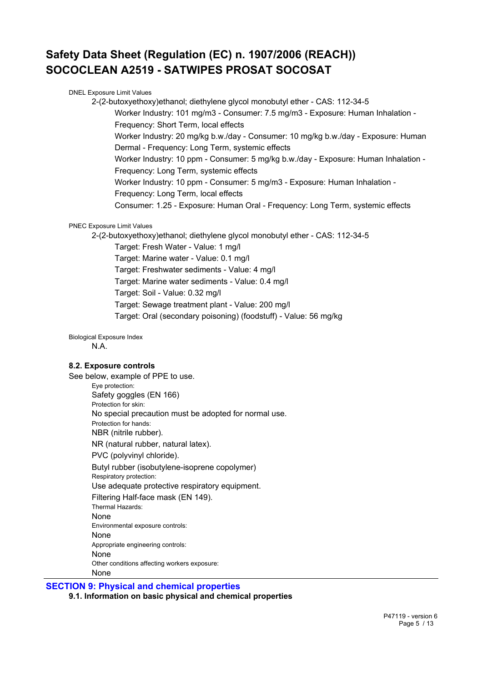DNEL Exposure Limit Values 2-(2-butoxyethoxy)ethanol; diethylene glycol monobutyl ether - CAS: 112-34-5 Worker Industry: 101 mg/m3 - Consumer: 7.5 mg/m3 - Exposure: Human Inhalation - Frequency: Short Term, local effects Worker Industry: 20 mg/kg b.w./day - Consumer: 10 mg/kg b.w./day - Exposure: Human Dermal - Frequency: Long Term, systemic effects Worker Industry: 10 ppm - Consumer: 5 mg/kg b.w./day - Exposure: Human Inhalation - Frequency: Long Term, systemic effects Worker Industry: 10 ppm - Consumer: 5 mg/m3 - Exposure: Human Inhalation - Frequency: Long Term, local effects Consumer: 1.25 - Exposure: Human Oral - Frequency: Long Term, systemic effects PNEC Exposure Limit Values

2-(2-butoxyethoxy)ethanol; diethylene glycol monobutyl ether - CAS: 112-34-5

Target: Fresh Water - Value: 1 mg/l

Target: Marine water - Value: 0.1 mg/l

Target: Freshwater sediments - Value: 4 mg/l

Target: Marine water sediments - Value: 0.4 mg/l

Target: Soil - Value: 0.32 mg/l

Target: Sewage treatment plant - Value: 200 mg/l

Target: Oral (secondary poisoning) (foodstuff) - Value: 56 mg/kg

Biological Exposure Index

N.A.

### **8.2. Exposure controls**

See below, example of PPE to use.

Eye protection: Safety goggles (EN 166) Protection for skin: No special precaution must be adopted for normal use. Protection for hands: NBR (nitrile rubber). NR (natural rubber, natural latex). PVC (polyvinyl chloride). Butyl rubber (isobutylene-isoprene copolymer) Respiratory protection: Use adequate protective respiratory equipment. Filtering Half-face mask (EN 149). Thermal Hazards: None Environmental exposure controls: None Appropriate engineering controls: None

Other conditions affecting workers exposure:

None

**SECTION 9: Physical and chemical properties**

**9.1. Information on basic physical and chemical properties**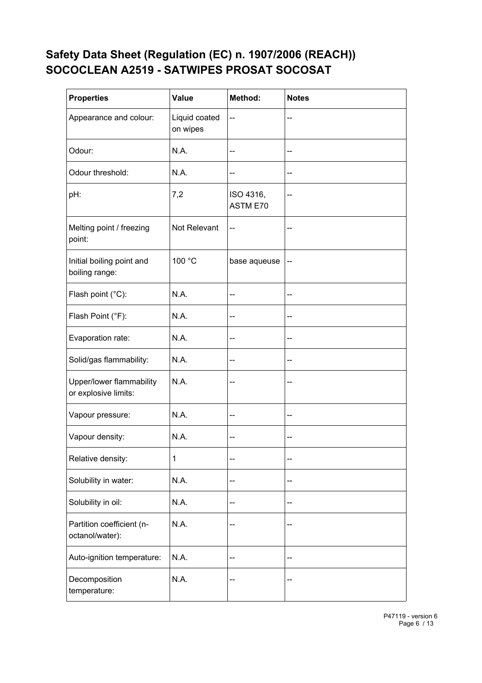| <b>Properties</b>                                | <b>Value</b>              | Method:               | <b>Notes</b> |
|--------------------------------------------------|---------------------------|-----------------------|--------------|
| Appearance and colour:                           | Liquid coated<br>on wipes | --                    |              |
| Odour:                                           | N.A.                      | --                    | --           |
| Odour threshold:                                 | N.A.                      | --                    | --           |
| pH:                                              | 7,2                       | ISO 4316,<br>ASTM E70 | --           |
| Melting point / freezing<br>point:               | Not Relevant              | --                    |              |
| Initial boiling point and<br>boiling range:      | 100 °C                    | base aqueuse          | -−           |
| Flash point (°C):                                | N.A.                      | --                    | --           |
| Flash Point (°F):                                | N.A.                      | --                    | --           |
| Evaporation rate:                                | N.A.                      | --                    | --           |
| Solid/gas flammability:                          | N.A.                      | --                    | --           |
| Upper/lower flammability<br>or explosive limits: | N.A.                      | ۰.                    |              |
| Vapour pressure:                                 | N.A.                      | --                    | --           |
| Vapour density:                                  | N.A.                      | --                    | --           |
| Relative density:                                | 1                         | --                    | --           |
| Solubility in water:                             | N.A.                      | --                    | --           |
| Solubility in oil:                               | N.A.                      | --                    | --           |
| Partition coefficient (n-<br>octanol/water):     | N.A.                      | --                    | --           |
| Auto-ignition temperature:                       | N.A.                      | --                    | --           |
| Decomposition<br>temperature:                    | N.A.                      |                       |              |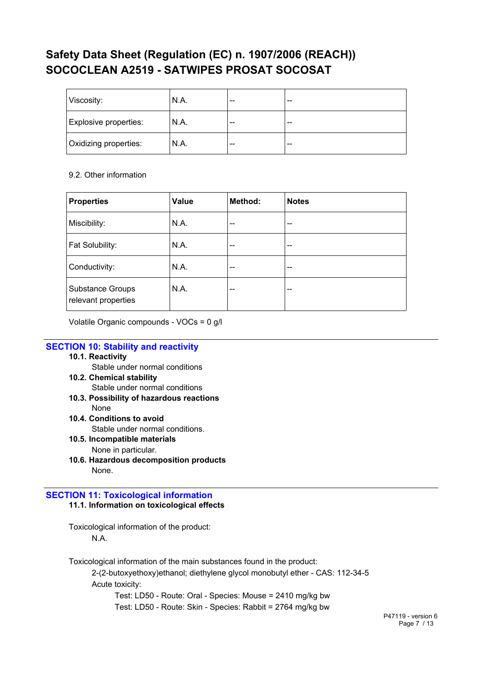| Viscosity:            | N.A. | $- -$ | $- -$ |
|-----------------------|------|-------|-------|
| Explosive properties: | N.A. | $- -$ | $- -$ |
| Oxidizing properties: | N.A. | $- -$ | $- -$ |

## 9.2. Other information

| <b>Properties</b>                              | Value | Method: | <b>Notes</b> |
|------------------------------------------------|-------|---------|--------------|
| Miscibility:                                   | N.A.  | --      | $- -$        |
| Fat Solubility:                                | N.A.  | --      | --           |
| Conductivity:                                  | N.A.  | $- -$   | --           |
| <b>Substance Groups</b><br>relevant properties | N.A.  | --      | --           |

Volatile Organic compounds - VOCs = 0 g/l

## **SECTION 10: Stability and reactivity**

### **10.1. Reactivity**

Stable under normal conditions

- **10.2. Chemical stability** Stable under normal conditions
- **10.3. Possibility of hazardous reactions** None
- **10.4. Conditions to avoid**

Stable under normal conditions.

- **10.5. Incompatible materials** None in particular.
- **10.6. Hazardous decomposition products** None.

## **SECTION 11: Toxicological information 11.1. Information on toxicological effects**

Toxicological information of the product: N.A.

Toxicological information of the main substances found in the product:

2-(2-butoxyethoxy)ethanol; diethylene glycol monobutyl ether - CAS: 112-34-5 Acute toxicity:

Test: LD50 - Route: Oral - Species: Mouse = 2410 mg/kg bw Test: LD50 - Route: Skin - Species: Rabbit = 2764 mg/kg bw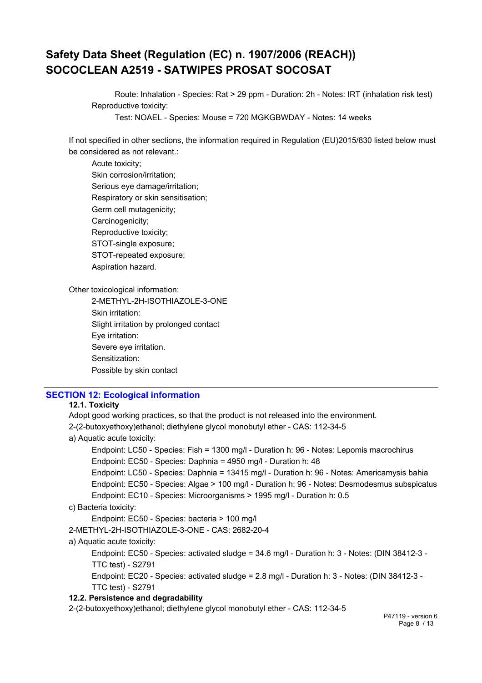Route: Inhalation - Species: Rat > 29 ppm - Duration: 2h - Notes: IRT (inhalation risk test) Reproductive toxicity:

Test: NOAEL - Species: Mouse = 720 MGKGBWDAY - Notes: 14 weeks

If not specified in other sections, the information required in Regulation (EU)2015/830 listed below must be considered as not relevant.:

Acute toxicity; Skin corrosion/irritation; Serious eye damage/irritation; Respiratory or skin sensitisation; Germ cell mutagenicity; Carcinogenicity; Reproductive toxicity; STOT-single exposure; STOT-repeated exposure; Aspiration hazard.

Other toxicological information:

2-METHYL-2H-ISOTHIAZOLE-3-ONE Skin irritation: Slight irritation by prolonged contact Eye irritation: Severe eye irritation. Sensitization: Possible by skin contact

## **SECTION 12: Ecological information**

### **12.1. Toxicity**

Adopt good working practices, so that the product is not released into the environment. 2-(2-butoxyethoxy)ethanol; diethylene glycol monobutyl ether - CAS: 112-34-5 a) Aquatic acute toxicity: Endpoint: LC50 - Species: Fish = 1300 mg/l - Duration h: 96 - Notes: Lepomis macrochirus Endpoint: EC50 - Species: Daphnia = 4950 mg/l - Duration h: 48 Endpoint: LC50 - Species: Daphnia = 13415 mg/l - Duration h: 96 - Notes: Americamysis bahia Endpoint: EC50 - Species: Algae > 100 mg/l - Duration h: 96 - Notes: Desmodesmus subspicatus Endpoint: EC10 - Species: Microorganisms > 1995 mg/l - Duration h: 0.5 c) Bacteria toxicity: Endpoint: EC50 - Species: bacteria > 100 mg/l 2-METHYL-2H-ISOTHIAZOLE-3-ONE - CAS: 2682-20-4 a) Aquatic acute toxicity: Endpoint: EC50 - Species: activated sludge = 34.6 mg/l - Duration h: 3 - Notes: (DIN 38412-3 - TTC test) - S2791 Endpoint: EC20 - Species: activated sludge = 2.8 mg/l - Duration h: 3 - Notes: (DIN 38412-3 - TTC test) - S2791 **12.2. Persistence and degradability** 2-(2-butoxyethoxy)ethanol; diethylene glycol monobutyl ether - CAS: 112-34-5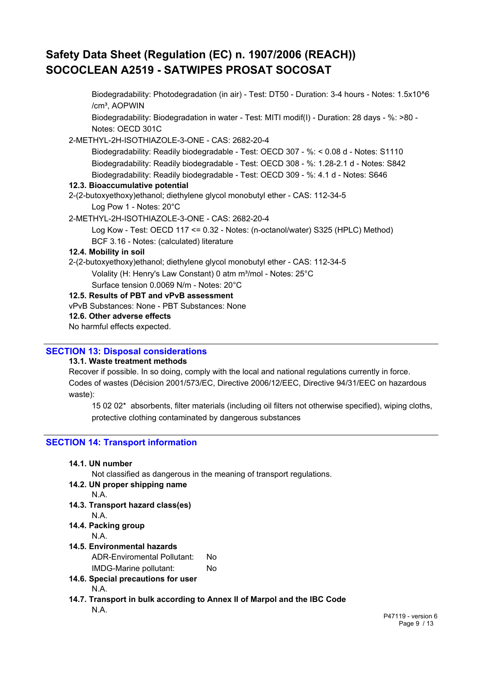Biodegradability: Photodegradation (in air) - Test: DT50 - Duration: 3-4 hours - Notes: 1.5x10^6 /cm<sup>3</sup>, AOPWIN

Biodegradability: Biodegradation in water - Test: MITI modif(I) - Duration: 28 days - %: >80 - Notes: OECD 301C

2-METHYL-2H-ISOTHIAZOLE-3-ONE - CAS: 2682-20-4

Biodegradability: Readily biodegradable - Test: OECD 307 - %: < 0.08 d - Notes: S1110 Biodegradability: Readily biodegradable - Test: OECD 308 - %: 1.28-2.1 d - Notes: S842 Biodegradability: Readily biodegradable - Test: OECD 309 - %: 4.1 d - Notes: S646

#### **12.3. Bioaccumulative potential**

2-(2-butoxyethoxy)ethanol; diethylene glycol monobutyl ether - CAS: 112-34-5 Log Pow 1 - Notes: 20°C

- 2-METHYL-2H-ISOTHIAZOLE-3-ONE CAS: 2682-20-4
	- Log Kow Test: OECD 117 <= 0.32 Notes: (n-octanol/water) S325 (HPLC) Method)

BCF 3.16 - Notes: (calculated) literature

### **12.4. Mobility in soil**

2-(2-butoxyethoxy)ethanol; diethylene glycol monobutyl ether - CAS: 112-34-5

- Volality (H: Henry's Law Constant) 0 atm m<sup>3</sup>/mol Notes: 25°C
- Surface tension 0.0069 N/m Notes: 20°C

## **12.5. Results of PBT and vPvB assessment**

vPvB Substances: None - PBT Substances: None

**12.6. Other adverse effects**

No harmful effects expected.

### **SECTION 13: Disposal considerations**

### **13.1. Waste treatment methods**

Recover if possible. In so doing, comply with the local and national regulations currently in force. Codes of wastes (Décision 2001/573/EC, Directive 2006/12/EEC, Directive 94/31/EEC on hazardous waste):

15 02 02\* absorbents, filter materials (including oil filters not otherwise specified), wiping cloths, protective clothing contaminated by dangerous substances

## **SECTION 14: Transport information**

| 14.1. UN number |  |
|-----------------|--|
|-----------------|--|

Not classified as dangerous in the meaning of transport regulations.

## **14.2. UN proper shipping name**

- N.A.
- **14.3. Transport hazard class(es)**  N.A.
- **14.4. Packing group**
	- N.A.
- **14.5. Environmental hazards**
	- ADR-Enviromental Pollutant: No

```
IMDG-Marine pollutant: No
```
- **14.6. Special precautions for user** N.A.
- **14.7. Transport in bulk according to Annex II of Marpol and the IBC Code** N.A.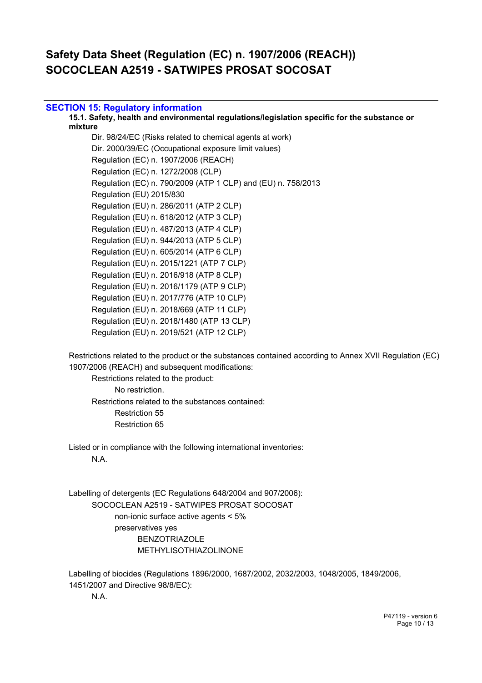## **SECTION 15: Regulatory information**

**15.1. Safety, health and environmental regulations/legislation specific for the substance or mixture**

Dir. 98/24/EC (Risks related to chemical agents at work) Dir. 2000/39/EC (Occupational exposure limit values) Regulation (EC) n. 1907/2006 (REACH) Regulation (EC) n. 1272/2008 (CLP) Regulation (EC) n. 790/2009 (ATP 1 CLP) and (EU) n. 758/2013 Regulation (EU) 2015/830 Regulation (EU) n. 286/2011 (ATP 2 CLP) Regulation (EU) n. 618/2012 (ATP 3 CLP) Regulation (EU) n. 487/2013 (ATP 4 CLP) Regulation (EU) n. 944/2013 (ATP 5 CLP) Regulation (EU) n. 605/2014 (ATP 6 CLP) Regulation (EU) n. 2015/1221 (ATP 7 CLP) Regulation (EU) n. 2016/918 (ATP 8 CLP) Regulation (EU) n. 2016/1179 (ATP 9 CLP) Regulation (EU) n. 2017/776 (ATP 10 CLP) Regulation (EU) n. 2018/669 (ATP 11 CLP) Regulation (EU) n. 2018/1480 (ATP 13 CLP) Regulation (EU) n. 2019/521 (ATP 12 CLP)

Restrictions related to the product or the substances contained according to Annex XVII Regulation (EC) 1907/2006 (REACH) and subsequent modifications:

Restrictions related to the product: No restriction. Restrictions related to the substances contained: Restriction 55 Restriction 65

Listed or in compliance with the following international inventories: N.A.

Labelling of detergents (EC Regulations 648/2004 and 907/2006): SOCOCLEAN A2519 - SATWIPES PROSAT SOCOSAT non-ionic surface active agents < 5% preservatives yes BENZOTRIAZOLE METHYLISOTHIAZOLINONE

Labelling of biocides (Regulations 1896/2000, 1687/2002, 2032/2003, 1048/2005, 1849/2006, 1451/2007 and Directive 98/8/EC):

N.A.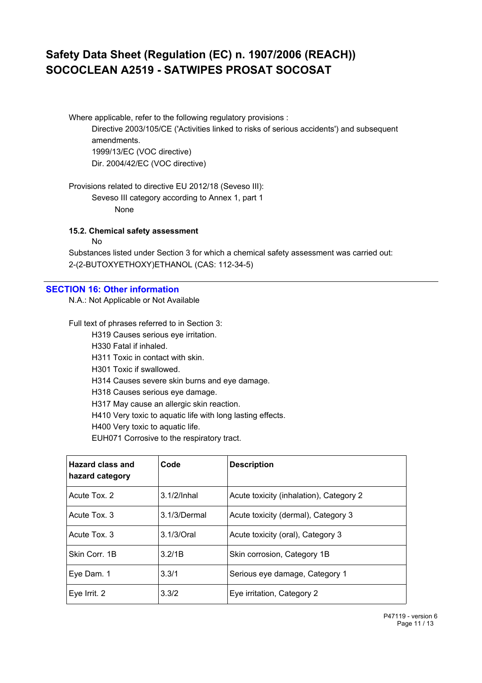Where applicable, refer to the following regulatory provisions :

Directive 2003/105/CE ('Activities linked to risks of serious accidents') and subsequent amendments. 1999/13/EC (VOC directive) Dir. 2004/42/EC (VOC directive)

Provisions related to directive EU 2012/18 (Seveso III):

Seveso III category according to Annex 1, part 1 None

**15.2. Chemical safety assessment**

No

Substances listed under Section 3 for which a chemical safety assessment was carried out: 2-(2-BUTOXYETHOXY)ETHANOL (CAS: 112-34-5)

## **SECTION 16: Other information**

N.A.: Not Applicable or Not Available

Full text of phrases referred to in Section 3:

H319 Causes serious eye irritation.

H330 Fatal if inhaled.

H311 Toxic in contact with skin.

H301 Toxic if swallowed.

H314 Causes severe skin burns and eye damage.

H318 Causes serious eye damage.

H317 May cause an allergic skin reaction.

H410 Very toxic to aquatic life with long lasting effects.

H400 Very toxic to aquatic life.

EUH071 Corrosive to the respiratory tract.

| Hazard class and<br>hazard category | Code           | <b>Description</b>                      |
|-------------------------------------|----------------|-----------------------------------------|
| Acute Tox. 2                        | $3.1/2$ /Inhal | Acute toxicity (inhalation), Category 2 |
| Acute Tox, 3                        | 3.1/3/Dermal   | Acute toxicity (dermal), Category 3     |
| Acute Tox. 3                        | $3.1/3$ Oral   | Acute toxicity (oral), Category 3       |
| Skin Corr. 1B                       | 3.2/1B         | Skin corrosion, Category 1B             |
| Eye Dam. 1                          | 3.3/1          | Serious eye damage, Category 1          |
| Eye Irrit. 2                        | 3.3/2          | Eye irritation, Category 2              |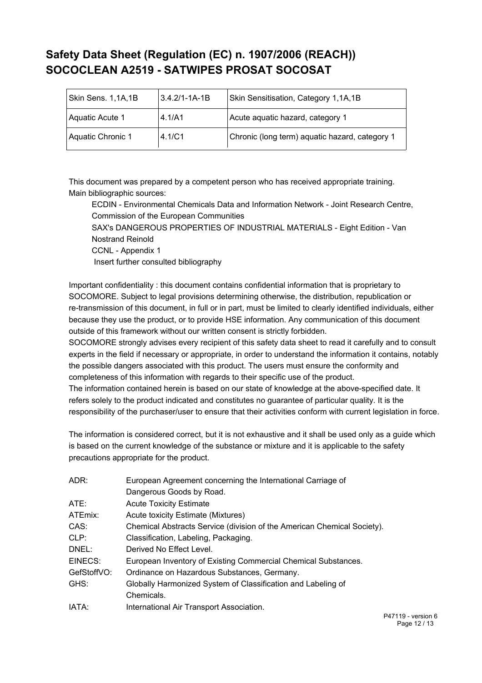| Skin Sens. 1,1A,1B | $3.4.2$ /1-1A-1B | Skin Sensitisation, Category 1,1A,1B           |
|--------------------|------------------|------------------------------------------------|
| Aquatic Acute 1    | 4.1/A1           | Acute aquatic hazard, category 1               |
| Aquatic Chronic 1  | 4.1/C1           | Chronic (long term) aquatic hazard, category 1 |

This document was prepared by a competent person who has received appropriate training. Main bibliographic sources:

ECDIN - Environmental Chemicals Data and Information Network - Joint Research Centre, Commission of the European Communities

SAX's DANGEROUS PROPERTIES OF INDUSTRIAL MATERIALS - Eight Edition - Van Nostrand Reinold

CCNL - Appendix 1

Insert further consulted bibliography

Important confidentiality : this document contains confidential information that is proprietary to SOCOMORE. Subject to legal provisions determining otherwise, the distribution, republication or re-transmission of this document, in full or in part, must be limited to clearly identified individuals, either because they use the product, or to provide HSE information. Any communication of this document outside of this framework without our written consent is strictly forbidden.

SOCOMORE strongly advises every recipient of this safety data sheet to read it carefully and to consult experts in the field if necessary or appropriate, in order to understand the information it contains, notably the possible dangers associated with this product. The users must ensure the conformity and completeness of this information with regards to their specific use of the product.

The information contained herein is based on our state of knowledge at the above-specified date. It refers solely to the product indicated and constitutes no guarantee of particular quality. It is the responsibility of the purchaser/user to ensure that their activities conform with current legislation in force.

The information is considered correct, but it is not exhaustive and it shall be used only as a guide which is based on the current knowledge of the substance or mixture and it is applicable to the safety precautions appropriate for the product.

| ADR:        | European Agreement concerning the International Carriage of             |
|-------------|-------------------------------------------------------------------------|
|             | Dangerous Goods by Road.                                                |
| ATE:        | <b>Acute Toxicity Estimate</b>                                          |
| ATEmix:     | Acute toxicity Estimate (Mixtures)                                      |
| CAS:        | Chemical Abstracts Service (division of the American Chemical Society). |
| CLP:        | Classification, Labeling, Packaging.                                    |
| DNEL:       | Derived No Effect Level.                                                |
| EINECS:     | European Inventory of Existing Commercial Chemical Substances.          |
| GefStoffVO: | Ordinance on Hazardous Substances, Germany.                             |
| GHS:        | Globally Harmonized System of Classification and Labeling of            |
|             | Chemicals.                                                              |
| IATA:       | International Air Transport Association.                                |